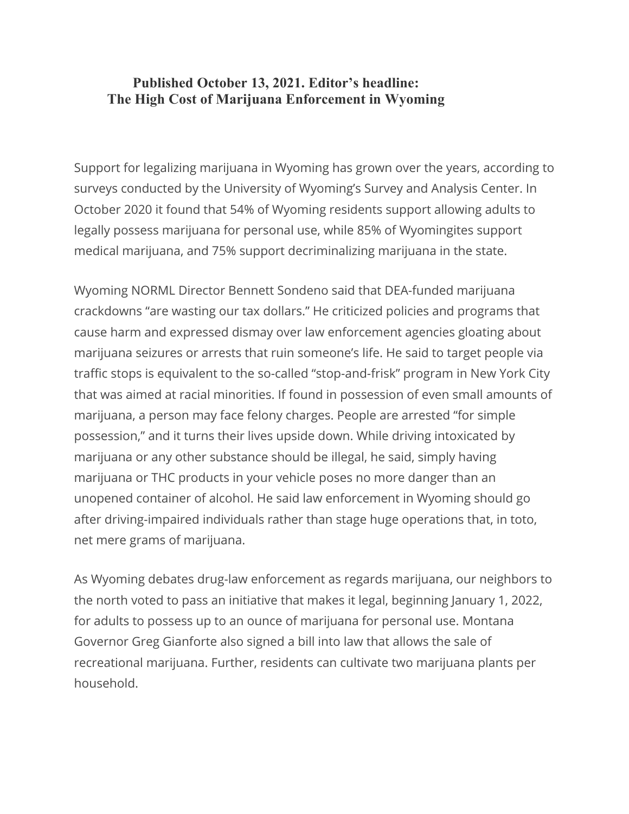## **Published October 13, 2021. Editor's headline: The High Cost of Marijuana Enforcement in Wyoming**

Support for legalizing marijuana in Wyoming has grown over the years, according to surveys conducted by the University of Wyoming's Survey and Analysis Center. In October 2020 it found that 54% of Wyoming residents support allowing adults to legally possess marijuana for personal use, while 85% of Wyomingites support medical marijuana, and 75% support decriminalizing marijuana in the state.

Wyoming NORML Director Bennett Sondeno said that DEA-funded marijuana crackdowns "are wasting our tax dollars." He criticized policies and programs that cause harm and expressed dismay over law enforcement agencies gloating about marijuana seizures or arrests that ruin someone's life. He said to target people via traffic stops is equivalent to the so-called "stop-and-frisk" program in New York City that was aimed at racial minorities. If found in possession of even small amounts of marijuana, a person may face felony charges. People are arrested "for simple possession," and it turns their lives upside down. While driving intoxicated by marijuana or any other substance should be illegal, he said, simply having marijuana or THC products in your vehicle poses no more danger than an unopened container of alcohol. He said law enforcement in Wyoming should go after driving-impaired individuals rather than stage huge operations that, in toto, net mere grams of marijuana.

As Wyoming debates drug-law enforcement as regards marijuana, our neighbors to the north voted to pass an initiative that makes it legal, beginning January 1, 2022, for adults to possess up to an ounce of marijuana for personal use. Montana Governor Greg Gianforte also signed a bill into law that allows the sale of recreational marijuana. Further, residents can cultivate two marijuana plants per household.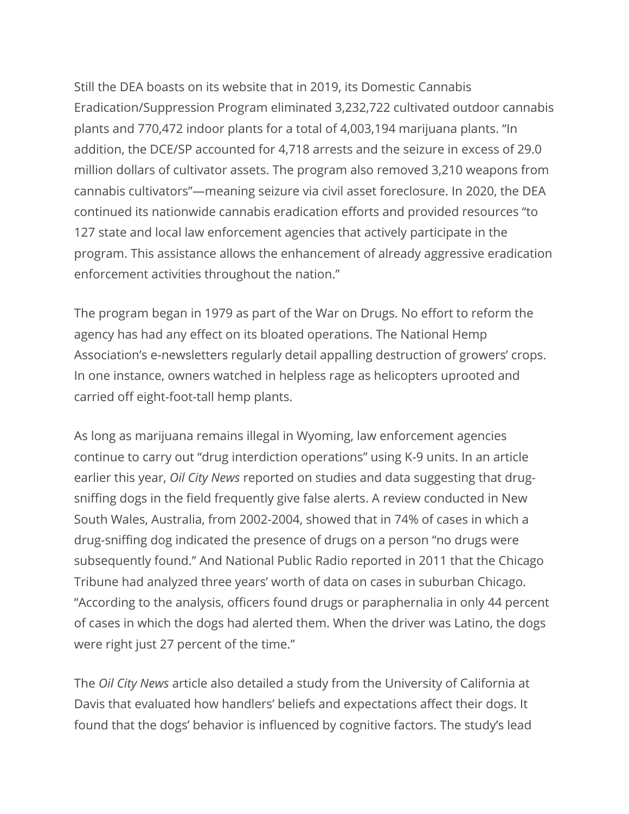Still the DEA boasts on its website that in 2019, its Domestic Cannabis Eradication/Suppression Program eliminated 3,232,722 cultivated outdoor cannabis plants and 770,472 indoor plants for a total of 4,003,194 marijuana plants. "In addition, the DCE/SP accounted for 4,718 arrests and the seizure in excess of 29.0 million dollars of cultivator assets. The program also removed 3,210 weapons from cannabis cultivators"—meaning seizure via civil asset foreclosure. In 2020, the DEA continued its nationwide cannabis eradication efforts and provided resources "to 127 state and local law enforcement agencies that actively participate in the program. This assistance allows the enhancement of already aggressive eradication enforcement activities throughout the nation."

The program began in 1979 as part of the War on Drugs. No effort to reform the agency has had any effect on its bloated operations. The National Hemp Association's e-newsletters regularly detail appalling destruction of growers' crops. In one instance, owners watched in helpless rage as helicopters uprooted and carried off eight-foot-tall hemp plants.

As long as marijuana remains illegal in Wyoming, law enforcement agencies continue to carry out "drug interdiction operations" using K-9 units. In an article earlier this year, *Oil City News* reported on studies and data suggesting that drugsniffing dogs in the field frequently give false alerts. A review conducted in New South Wales, Australia, from 2002-2004, showed that in 74% of cases in which a drug-sniffing dog indicated the presence of drugs on a person "no drugs were subsequently found." And National Public Radio reported in 2011 that the Chicago Tribune had analyzed three years' worth of data on cases in suburban Chicago. "According to the analysis, officers found drugs or paraphernalia in only 44 percent of cases in which the dogs had alerted them. When the driver was Latino, the dogs were right just 27 percent of the time."

The *Oil City News* article also detailed a study from the University of California at Davis that evaluated how handlers' beliefs and expectations affect their dogs. It found that the dogs' behavior is influenced by cognitive factors. The study's lead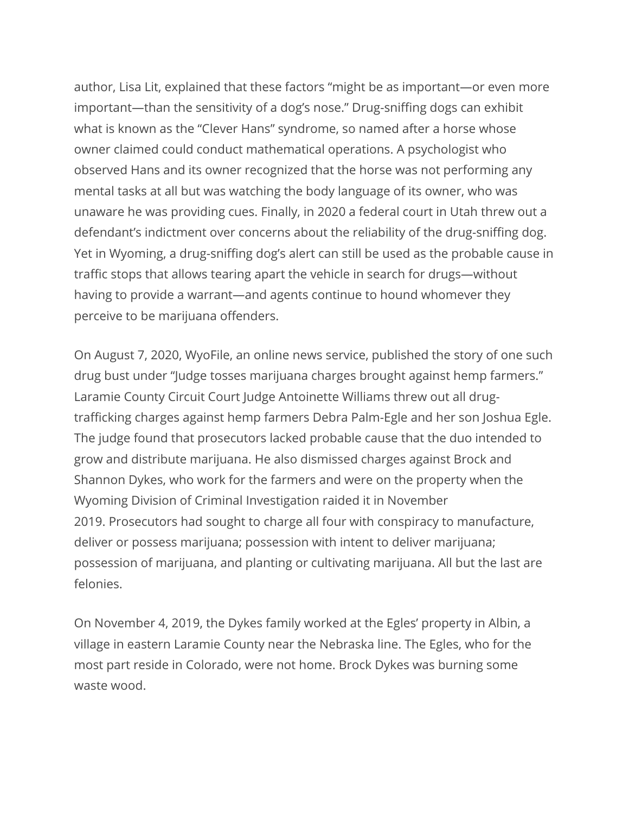author, Lisa Lit, explained that these factors "might be as important—or even more important—than the sensitivity of a dog's nose." Drug-sniffing dogs can exhibit what is known as the "Clever Hans" syndrome, so named after a horse whose owner claimed could conduct mathematical operations. A psychologist who observed Hans and its owner recognized that the horse was not performing any mental tasks at all but was watching the body language of its owner, who was unaware he was providing cues. Finally, in 2020 a federal court in Utah threw out a defendant's indictment over concerns about the reliability of the drug-sniffing dog. Yet in Wyoming, a drug-sniffing dog's alert can still be used as the probable cause in traffic stops that allows tearing apart the vehicle in search for drugs—without having to provide a warrant—and agents continue to hound whomever they perceive to be marijuana offenders.

On August 7, 2020, WyoFile, an online news service, published the story of one such drug bust under "Judge tosses marijuana charges brought against hemp farmers." Laramie County Circuit Court Judge Antoinette Williams threw out all drugtrafficking charges against hemp farmers Debra Palm-Egle and her son Joshua Egle. The judge found that prosecutors lacked probable cause that the duo intended to grow and distribute marijuana. He also dismissed charges against Brock and Shannon Dykes, who work for the farmers and were on the property when the Wyoming Division of Criminal Investigation raided it in November 2019. Prosecutors had sought to charge all four with conspiracy to manufacture, deliver or possess marijuana; possession with intent to deliver marijuana; possession of marijuana, and planting or cultivating marijuana. All but the last are felonies.

On November 4, 2019, the Dykes family worked at the Egles' property in Albin, a village in eastern Laramie County near the Nebraska line. The Egles, who for the most part reside in Colorado, were not home. Brock Dykes was burning some waste wood.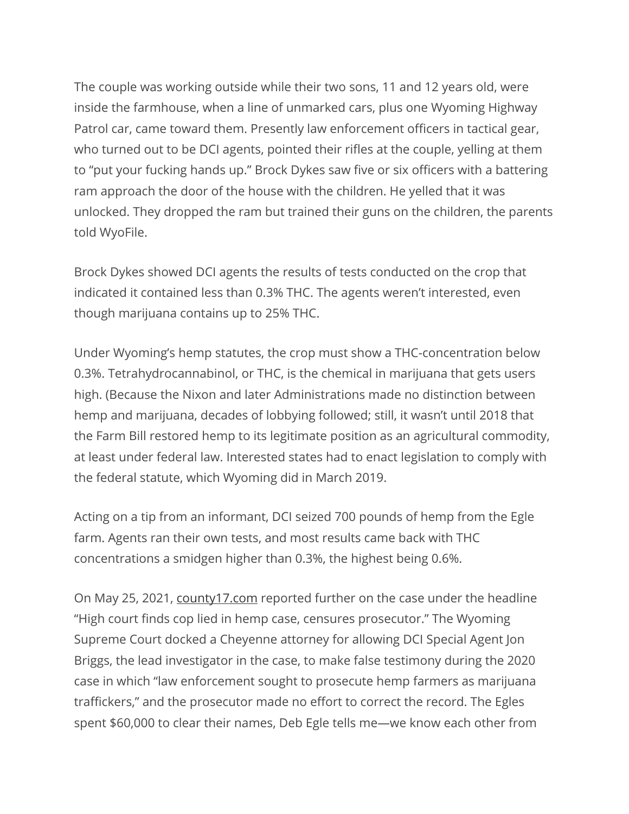The couple was working outside while their two sons, 11 and 12 years old, were inside the farmhouse, when a line of unmarked cars, plus one Wyoming Highway Patrol car, came toward them. Presently law enforcement officers in tactical gear, who turned out to be DCI agents, pointed their rifles at the couple, yelling at them to "put your fucking hands up." Brock Dykes saw five or six officers with a battering ram approach the door of the house with the children. He yelled that it was unlocked. They dropped the ram but trained their guns on the children, the parents told WyoFile.

Brock Dykes showed DCI agents the results of tests conducted on the crop that indicated it contained less than 0.3% THC. The agents weren't interested, even though marijuana contains up to 25% THC.

Under Wyoming's hemp statutes, the crop must show a THC-concentration below 0.3%. Tetrahydrocannabinol, or THC, is the chemical in marijuana that gets users high. (Because the Nixon and later Administrations made no distinction between hemp and marijuana, decades of lobbying followed; still, it wasn't until 2018 that the Farm Bill restored hemp to its legitimate position as an agricultural commodity, at least under federal law. Interested states had to enact legislation to comply with the federal statute, which Wyoming did in March 2019.

Acting on a tip from an informant, DCI seized 700 pounds of hemp from the Egle farm. Agents ran their own tests, and most results came back with THC concentrations a smidgen higher than 0.3%, the highest being 0.6%.

On May 25, 2021, county17.com reported further on the case under the headline "High court finds cop lied in hemp case, censures prosecutor." The Wyoming Supreme Court docked a Cheyenne attorney for allowing DCI Special Agent Jon Briggs, the lead investigator in the case, to make false testimony during the 2020 case in which "law enforcement sought to prosecute hemp farmers as marijuana traffickers," and the prosecutor made no effort to correct the record. The Egles spent \$60,000 to clear their names, Deb Egle tells me—we know each other from